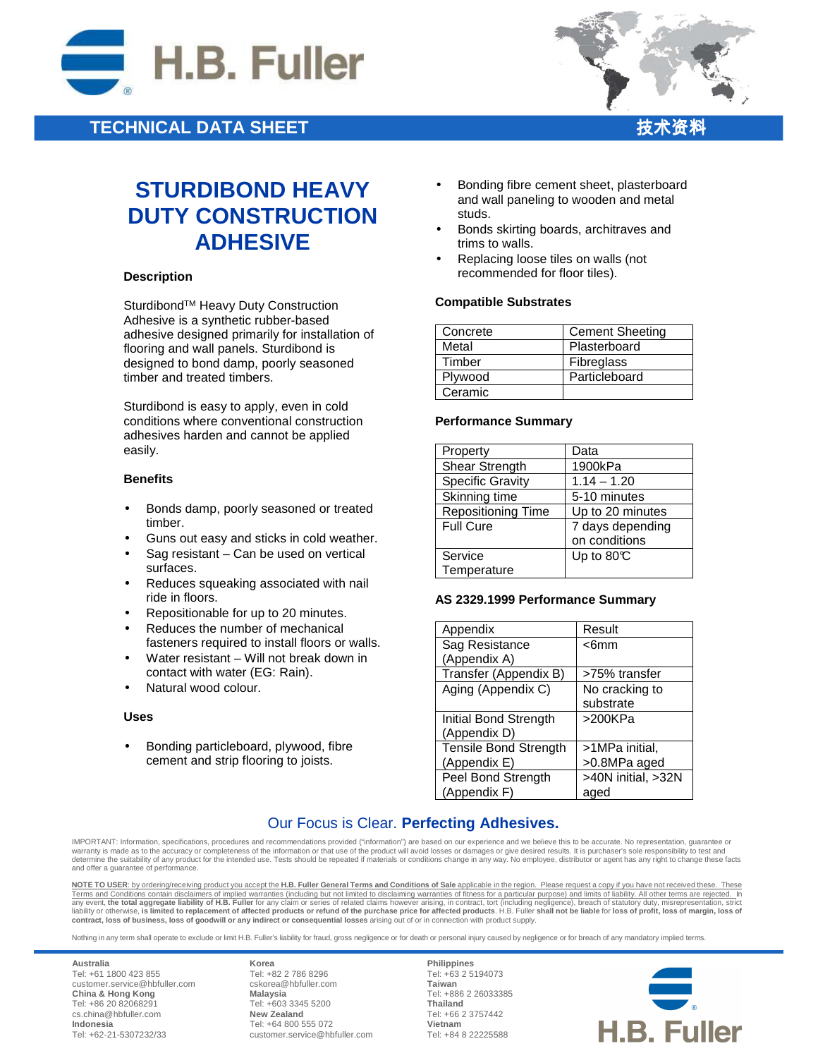

# **TECHNICAL DATA SHEET**



# **STURDIBOND HEAVY DUTY CONSTRUCTION ADHESIVE**

#### **Description**

Sturdibond™ Heavy Duty Construction Adhesive is a synthetic rubber-based adhesive designed primarily for installation of flooring and wall panels. Sturdibond is designed to bond damp, poorly seasoned timber and treated timbers.

Sturdibond is easy to apply, even in cold conditions where conventional construction adhesives harden and cannot be applied easily.

#### **Benefits**

- Bonds damp, poorly seasoned or treated timber.
- Guns out easy and sticks in cold weather.
- Sag resistant Can be used on vertical surfaces.
- Reduces squeaking associated with nail ride in floors.
- Repositionable for up to 20 minutes.
- Reduces the number of mechanical fasteners required to install floors or walls.
- Water resistant Will not break down in contact with water (EG: Rain).
- Natural wood colour.

#### **Uses**

• Bonding particleboard, plywood, fibre cement and strip flooring to joists.

- Bonding fibre cement sheet, plasterboard and wall paneling to wooden and metal studs.
- Bonds skirting boards, architraves and trims to walls.
- Replacing loose tiles on walls (not recommended for floor tiles).

#### **Compatible Substrates**

| Concrete | <b>Cement Sheeting</b> |
|----------|------------------------|
| Metal    | Plasterboard           |
| Timber   | Fibreglass             |
| Plywood  | Particleboard          |
| Ceramic  |                        |

#### **Performance Summary**

| Property                  | Data             |
|---------------------------|------------------|
| Shear Strength            | 1900kPa          |
| <b>Specific Gravity</b>   | $1.14 - 1.20$    |
| Skinning time             | 5-10 minutes     |
| <b>Repositioning Time</b> | Up to 20 minutes |
| <b>Full Cure</b>          | 7 days depending |
|                           | on conditions    |
| Service                   | Up to $80C$      |
| Temperature               |                  |

#### **AS 2329.1999 Performance Summary**

| Appendix                     | Result             |
|------------------------------|--------------------|
| Sag Resistance               | $<$ 6mm            |
| (Appendix A)                 |                    |
| Transfer (Appendix B)        | >75% transfer      |
| Aging (Appendix C)           | No cracking to     |
|                              | substrate          |
| Initial Bond Strength        | >200KPa            |
| (Appendix D)                 |                    |
| <b>Tensile Bond Strength</b> | >1MPa initial,     |
| (Appendix E)                 | >0.8MPa aged       |
| Peel Bond Strength           | >40N initial, >32N |
| (Appendix F)                 | aged               |

## Our Focus is Clear. **Perfecting Adhesives.**

IMPORTANT: Information, specifications, procedures and recommendations provided ("information") are based on our experience and we believe this to be accurate. No representation, guarantee or warranty is made as to the accuracy or completeness of the information or that use of the product will avoid losses or damages or give desired results. It is purchaser's sole responsibility to test and warranty is made as determine the suitability of any product for the intended use. Tests should be repeated if materials or conditions change in any way. No employee, distributor or agent has any right to change these facts and offer a guarantee of performance.

**NOTE TO USER**: by ordering/receiving product you accept the **H.B. Fuller General Terms and Conditions of Sale** applicable in the region. Please request a copy if you have not received these. These Terms and Conditions contain disclaimers of implied warranties (including but not limited to disclaiming warranties of fitness for a particular purpose) and limits of liability. All other terms are rejected. In<br>any event, **contract, loss of business, loss of goodwill or any indirect or consequential losses** arising out of or in connection with product supply.

Nothing in any term shall operate to exclude or limit H.B. Fuller's liability for fraud, gross negligence or for death or personal injury caused by negligence or for breach of any mandatory implied terms.

**Australia** Tel: +61 1800 423 855 customer.service@hbfuller.com **China & Hong Kong**  Tel: +86 20 82068291 cs.china@hbfuller.com **Indonesia**  Tel: +62-21-5307232/33

**Korea** Tel: +82 2 786 8296 cskorea@hbfuller.com **Malaysia**  Tel: +603 3345 5200 **New Zealand** Tel: +64 800 555 072 customer.service@hbfuller.com

**Philippines** Tel: +63 2 5194073 **Taiwan**  Tel: +886 2 26033385 **Thailand**  Tel: +66 2 3757442 **Vietnam**  Tel: +84 8 22225588

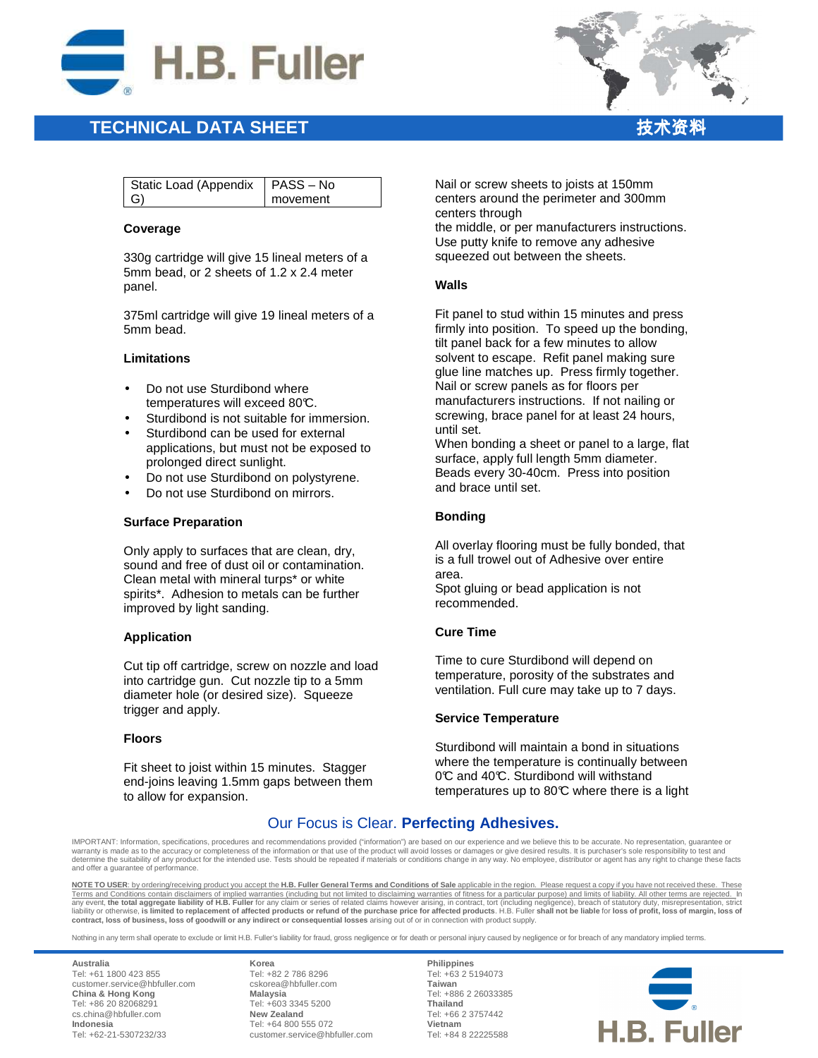

# **TECHNICAL DATA SHEET** 技术资料

| $\sim$ |
|--------|
|        |
|        |
|        |

| Static Load (Appendix   PASS - No |          |
|-----------------------------------|----------|
| G)                                | movement |
|                                   |          |

#### **Coverage**

330g cartridge will give 15 lineal meters of a 5mm bead, or 2 sheets of 1.2 x 2.4 meter panel.

375ml cartridge will give 19 lineal meters of a 5mm bead.

#### **Limitations**

- Do not use Sturdibond where temperatures will exceed 80°C.
- Sturdibond is not suitable for immersion.
- Sturdibond can be used for external applications, but must not be exposed to prolonged direct sunlight.
- Do not use Sturdibond on polystyrene.
- Do not use Sturdibond on mirrors.

#### **Surface Preparation**

Only apply to surfaces that are clean, dry, sound and free of dust oil or contamination. Clean metal with mineral turps\* or white spirits\*. Adhesion to metals can be further improved by light sanding.

#### **Application**

Cut tip off cartridge, screw on nozzle and load into cartridge gun. Cut nozzle tip to a 5mm diameter hole (or desired size). Squeeze trigger and apply.

#### **Floors**

Fit sheet to joist within 15 minutes. Stagger end-joins leaving 1.5mm gaps between them to allow for expansion.

Nail or screw sheets to joists at 150mm centers around the perimeter and 300mm centers through

the middle, or per manufacturers instructions. Use putty knife to remove any adhesive squeezed out between the sheets.

#### **Walls**

Fit panel to stud within 15 minutes and press firmly into position. To speed up the bonding, tilt panel back for a few minutes to allow solvent to escape. Refit panel making sure glue line matches up. Press firmly together. Nail or screw panels as for floors per manufacturers instructions. If not nailing or screwing, brace panel for at least 24 hours, until set.

When bonding a sheet or panel to a large, flat surface, apply full length 5mm diameter. Beads every 30-40cm. Press into position and brace until set.

### **Bonding**

All overlay flooring must be fully bonded, that is a full trowel out of Adhesive over entire area. Spot gluing or bead application is not

recommended.

### **Cure Time**

Time to cure Sturdibond will depend on temperature, porosity of the substrates and ventilation. Full cure may take up to 7 days.

#### **Service Temperature**

Sturdibond will maintain a bond in situations where the temperature is continually between 0°C and 40°C. Sturdibond will withstand temperatures up to  $80^{\circ}$  where there is a light

## Our Focus is Clear. **Perfecting Adhesives.**

IMPORTANT: Information, specifications, procedures and recommendations provided ("information") are based on our experience and we believe this to be accurate. No representation, guarantee or<br>warranty is made as to the acc ne the suitability of any product for the intended use. Tests should be repeated if materials or conditions change in any way. No employee, distributor or agent has any right to change these facts and offer a guarantee of performance.

**NOTE TO USER**: by ordering/receiving product you accept the **H.B. Fuller General Terms and Conditions of Sale** applicable in the region. Please request a copy if you have not received these. These Terms and Conditions contain disclaimers of implied warranties (including but not limited to disclaiming warranties of fitness for a particular purpose) and limits of liability. All other terms are rejected. In<br>any event, **contract, loss of business, loss of goodwill or any indirect or consequential losses** arising out of or in connection with product supply.

Nothing in any term shall operate to exclude or limit H.B. Fuller's liability for fraud, gross negligence or for death or personal injury caused by negligence or for breach of any mandatory implied terms.

**Australia** Tel: +61 1800 423 855 customer.service@hbfuller.com **China & Hong Kong**  Tel: +86 20 82068291 cs.china@hbfuller.com **Indonesia**  Tel: +62-21-5307232/33

**Korea** Tel: +82 2 786 8296 cskorea@hbfuller.com **Malaysia**  Tel: +603 3345 5200 **New Zealand** Tel: +64 800 555 072 customer.service@hbfuller.com

**Philippines** Tel: +63 2 5194073 **Taiwan**  Tel: +886 2 26033385 **Thailand**  Tel: +66 2 3757442 **Vietnam**  Tel: +84 8 22225588